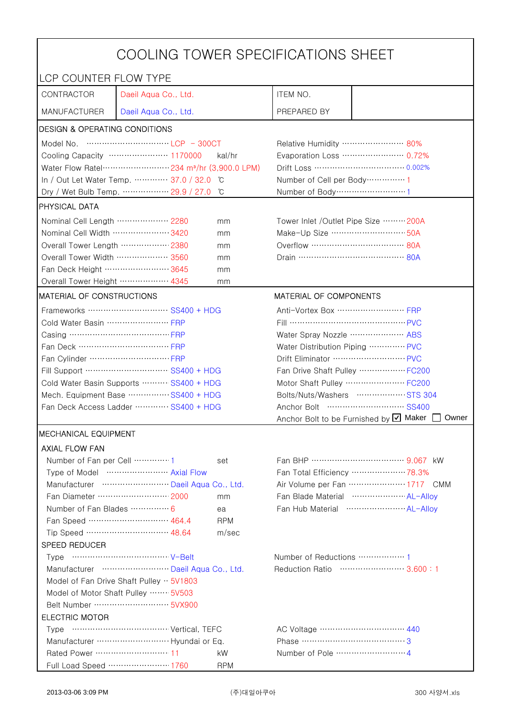| COOLING TOWER SPECIFICATIONS SHEET       |                                                               |                                                    |                                                      |                                |  |
|------------------------------------------|---------------------------------------------------------------|----------------------------------------------------|------------------------------------------------------|--------------------------------|--|
| LCP COUNTER FLOW TYPE                    |                                                               |                                                    |                                                      |                                |  |
| CONTRACTOR                               | Daeil Aqua Co., Ltd.                                          |                                                    | ITEM NO.                                             |                                |  |
| <b>MANUFACTURER</b>                      | Daeil Aqua Co., Ltd.                                          |                                                    | PREPARED BY                                          |                                |  |
| <b>DESIGN &amp; OPERATING CONDITIONS</b> |                                                               |                                                    |                                                      |                                |  |
|                                          |                                                               |                                                    | Relative Humidity …………………… 80%                       |                                |  |
|                                          | Cooling Capacity ………………… 1170000                              | kal/hr                                             |                                                      | Evaporation Loss ………………… 0.72% |  |
|                                          | Water Flow Ratel…………………… 234 m <sup>3</sup> /hr (3,900.0 LPM) |                                                    |                                                      |                                |  |
|                                          | In / Out Let Water Temp.  37.0 / 32.0                         | C                                                  | Number of Cell per Body ··············· 1            |                                |  |
|                                          | Dry / Wet Bulb Temp.  29.9 / 27.0                             | °C                                                 | Number of Body ··································1   |                                |  |
| <b>PHYSICAL DATA</b>                     |                                                               |                                                    |                                                      |                                |  |
| Nominal Cell Length  2280                |                                                               | mm                                                 | Tower Inlet /Outlet Pipe Size ……… 200A               |                                |  |
| Nominal Cell Width 3420                  |                                                               | mm                                                 | Make-Up Size ································ 50A    |                                |  |
| Overall Tower Length ……………… 2380         |                                                               | mm                                                 | Overflow …………………………… 80A                             |                                |  |
| Overall Tower Width  3560                |                                                               | mm                                                 |                                                      |                                |  |
| Fan Deck Height …………………… 3645            |                                                               | mm                                                 |                                                      |                                |  |
| Overall Tower Height ……………… 4345         |                                                               | mm                                                 |                                                      |                                |  |
| MATERIAL OF CONSTRUCTIONS                |                                                               |                                                    | MATERIAL OF COMPONENTS                               |                                |  |
|                                          | Frameworks  SS400 + HDG                                       |                                                    | Anti-Vortex Box …………………… FRP                         |                                |  |
| Cold Water Basin  FRP                    |                                                               |                                                    | Fill …………………………………… PVC                              |                                |  |
| Casing …………………………………… FRP                |                                                               |                                                    | Water Spray Nozzle ………………… ABS                       |                                |  |
| Fan Deck …………………………… FRP                 |                                                               |                                                    | Water Distribution Piping  PVC                       |                                |  |
|                                          |                                                               |                                                    |                                                      |                                |  |
| Fill Support ………………………… SS400 + HDG      |                                                               |                                                    | Fan Drive Shaft Pulley  FC200                        |                                |  |
| Cold Water Basin Supports  SS400 + HDG   |                                                               |                                                    | Motor Shaft Pulley  FC200                            |                                |  |
| Mech. Equipment Base SS400 + HDG         |                                                               |                                                    | Bolts/Nuts/Washers  STS 304                          |                                |  |
| Fan Deck Access Ladder ………… SS400 + HDG  |                                                               | Anchor Bolt to be Furnished by Ø Maker [<br>Owner  |                                                      |                                |  |
| <b>IMECHANICAL EQUIPMENT</b>             |                                                               |                                                    |                                                      |                                |  |
| <b>AXIAL FLOW FAN</b>                    |                                                               |                                                    |                                                      |                                |  |
| Number of Fan per Cell  1                |                                                               | set                                                |                                                      |                                |  |
| Type of Model  Axial Flow                |                                                               |                                                    | Fan Total Efficiency  78.3%                          |                                |  |
| Manufacturer  Daeil Aqua Co., Ltd.       |                                                               |                                                    | Air Volume per Fan  1717 CMM                         |                                |  |
| Fan Diameter …………………… 2000<br>mm         |                                                               | Fan Blade Material ······················ AL-Allov |                                                      |                                |  |
| Number of Fan Blades  6<br>ea            |                                                               |                                                    | Fan Hub Material ·························· AL-Alloy |                                |  |
|                                          | Fan Speed ………………………… 464.4                                    | <b>RPM</b>                                         |                                                      |                                |  |
|                                          | Tip Speed ………………………… 48.64                                    | m/sec                                              |                                                      |                                |  |
| SPEED REDUCER                            |                                                               |                                                    |                                                      |                                |  |
|                                          |                                                               |                                                    | Number of Reductions  1                              |                                |  |
| Manufacturer  Daeil Aqua Co., Ltd.       |                                                               |                                                    | Reduction Ratio …………………… 3.600:1                     |                                |  |
| Model of Fan Drive Shaft Pulley · 5V1803 |                                                               |                                                    |                                                      |                                |  |
| Model of Motor Shaft Pulley  5V503       |                                                               |                                                    |                                                      |                                |  |
|                                          |                                                               |                                                    |                                                      |                                |  |
| <b>ELECTRIC MOTOR</b>                    |                                                               |                                                    |                                                      |                                |  |
|                                          |                                                               |                                                    |                                                      |                                |  |
|                                          |                                                               |                                                    | Phase ……………………………………3                                |                                |  |
| Rated Power ………………………… 11                |                                                               | kW.                                                |                                                      |                                |  |
|                                          | Full Load Speed ………………… 1760                                  | <b>RPM</b>                                         |                                                      |                                |  |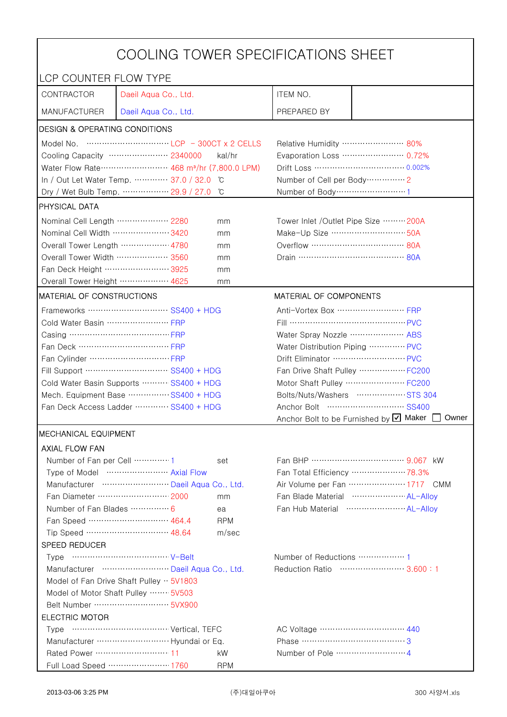| COOLING TOWER SPECIFICATIONS SHEET                   |                                                                               |                                                    |                              |  |  |
|------------------------------------------------------|-------------------------------------------------------------------------------|----------------------------------------------------|------------------------------|--|--|
| LCP COUNTER FLOW TYPE                                |                                                                               |                                                    |                              |  |  |
| CONTRACTOR                                           | Daeil Aqua Co., Ltd.                                                          | ITEM NO.                                           |                              |  |  |
| <b>MANUFACTURER</b>                                  | Daeil Aqua Co., Ltd.                                                          | PREPARED BY                                        |                              |  |  |
| <b>DESIGN &amp; OPERATING CONDITIONS</b>             |                                                                               |                                                    |                              |  |  |
|                                                      |                                                                               | Relative Humidity …………………… 80%                     |                              |  |  |
|                                                      | Cooling Capacity ………………… 2340000<br>kal/hr                                    | Evaporation Loss ………………… 0.72%                     |                              |  |  |
|                                                      | Water Flow Rate ························ 468 m <sup>3</sup> /hr (7,800.0 LPM) |                                                    |                              |  |  |
|                                                      | In / Out Let Water Temp.  37.0 / 32.0<br>C°                                   | Number of Cell per Body ··············· 2          |                              |  |  |
|                                                      | Dry / Wet Bulb Temp.  29.9 / 27.0<br>°C                                       | Number of Body ·····························1      |                              |  |  |
| PHYSICAL DATA                                        |                                                                               |                                                    |                              |  |  |
| Nominal Cell Length  2280                            | mm                                                                            | Tower Inlet /Outlet Pipe Size  200A                |                              |  |  |
| Nominal Cell Width 3420                              | mm                                                                            | Make-Up Size ································· 50A |                              |  |  |
| Overall Tower Length ……………… 4780                     | mm                                                                            |                                                    |                              |  |  |
| Overall Tower Width  3560                            | mm                                                                            |                                                    |                              |  |  |
| Fan Deck Height …………………… 3925                        | mm                                                                            |                                                    |                              |  |  |
| Overall Tower Height  4625                           | mm                                                                            |                                                    |                              |  |  |
| MATERIAL OF CONSTRUCTIONS                            |                                                                               | MATERIAL OF COMPONENTS                             |                              |  |  |
|                                                      | Frameworks ……………………… SS400 + HDG                                              | Anti-Vortex Box  FRP                               |                              |  |  |
| Cold Water Basin  FRP                                |                                                                               |                                                    |                              |  |  |
| Casing ………………………………… FRP                             |                                                                               | Water Spray Nozzle  ABS                            |                              |  |  |
| Fan Deck …………………………… FRP                             |                                                                               | Water Distribution Piping  PVC                     |                              |  |  |
|                                                      |                                                                               | Drift Eliminator  PVC                              |                              |  |  |
|                                                      | Fill Support ………………………… SS400 + HDG                                           | Fan Drive Shaft Pulley  FC200                      |                              |  |  |
|                                                      | Cold Water Basin Supports  SS400 + HDG                                        | Motor Shaft Pulley  FC200                          |                              |  |  |
|                                                      | Mech. Equipment Base SS400 + HDG                                              | Bolts/Nuts/Washers  STS 304                        |                              |  |  |
| Fan Deck Access Ladder  SS400 + HDG                  |                                                                               |                                                    |                              |  |  |
|                                                      |                                                                               | Anchor Bolt to be Furnished by $\boxtimes$ Maker   | Owner                        |  |  |
| <b>MECHANICAL EQUIPMENT</b>                          |                                                                               |                                                    |                              |  |  |
| <b>AXIAL FLOW FAN</b>                                |                                                                               |                                                    |                              |  |  |
| Number of Fan per Cell  1                            | set                                                                           |                                                    |                              |  |  |
|                                                      | Type of Model  Axial Flow                                                     | Fan Total Efficiency  78.3%                        |                              |  |  |
|                                                      | Manufacturer  Daeil Aqua Co., Ltd.                                            |                                                    | Air Volume per Fan  1717 CMM |  |  |
| Fan Diameter ……………………… 2000<br>mm                    |                                                                               | Fan Blade Material ····················· AL-Alloy  |                              |  |  |
| Number of Fan Blades …………… 6                         | ea                                                                            | Fan Hub Material  AL-Alloy                         |                              |  |  |
|                                                      | Fan Speed ………………………… 464.4<br><b>RPM</b>                                      |                                                    |                              |  |  |
|                                                      | Tip Speed ………………………… 48.64<br>m/sec                                           |                                                    |                              |  |  |
| SPEED REDUCER                                        |                                                                               |                                                    |                              |  |  |
|                                                      |                                                                               | Number of Reductions  1                            |                              |  |  |
|                                                      | Manufacturer  Daeil Aqua Co., Ltd.                                            | Reduction Ratio …………………… 3.600:1                   |                              |  |  |
| Model of Fan Drive Shaft Pulley $\cdot \cdot$ 5V1803 |                                                                               |                                                    |                              |  |  |
| Model of Motor Shaft Pulley  5V503                   |                                                                               |                                                    |                              |  |  |
| Belt Number ……………………… 5VX900                         |                                                                               |                                                    |                              |  |  |
| <b>ELECTRIC MOTOR</b><br>AC Voltage …………………………… 440  |                                                                               |                                                    |                              |  |  |
|                                                      |                                                                               |                                                    |                              |  |  |
|                                                      |                                                                               | Phase …………………………………3                               |                              |  |  |
|                                                      | kW                                                                            |                                                    |                              |  |  |
|                                                      | Full Load Speed ………………… 1760<br><b>RPM</b>                                    |                                                    |                              |  |  |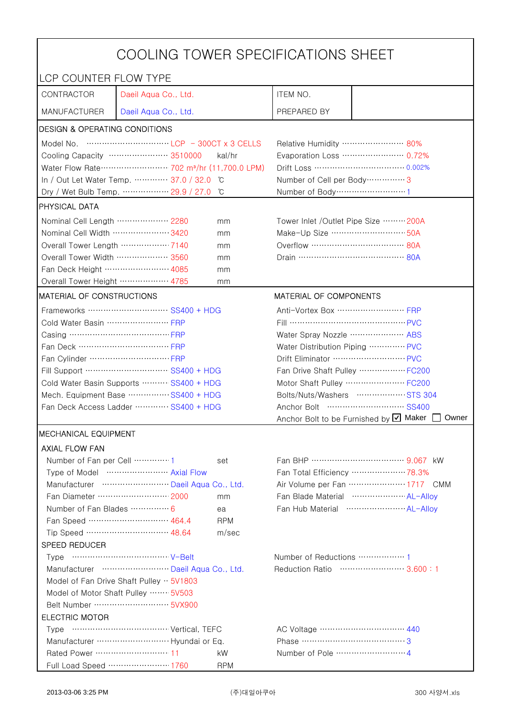| LCP COUNTER FLOW TYPE<br>CONTRACTOR<br>Daeil Aqua Co., Ltd.<br>ITEM NO.<br><b>MANUFACTURER</b><br>PREPARED BY<br>Daeil Aqua Co., Ltd.<br><b>DESIGN &amp; OPERATING CONDITIONS</b><br>Relative Humidity …………………… 80%<br>Cooling Capacity …………………… 3510000<br>kal/hr<br>Evaporation Loss ………………… 0.72%<br>Water Flow Rate ·························· 702 m <sup>3</sup> /hr (11,700.0 LPM)<br>In / Out Let Water Temp.  37.0 / 32.0<br>Number of Cell per Body ················ 3<br>C°<br>Dry / Wet Bulb Temp.  29.9 / 27.0<br>°C<br>Number of Body ······························1<br>PHYSICAL DATA<br>Nominal Cell Length  2280<br>Tower Inlet /Outlet Pipe Size  200A<br>mm<br>Make-Up Size ································· 50A<br>Nominal Cell Width 3420<br>mm<br>Overall Tower Length ……………… 7140<br>mm<br>Overall Tower Width  3560<br>mm<br>Fan Deck Height …………………… 4085<br>mm<br>Overall Tower Height ……………… 4785<br>mm<br>MATERIAL OF COMPONENTS<br>MATERIAL OF CONSTRUCTIONS<br>Anti-Vortex Box ······························ FRP<br>Frameworks  SS400 + HDG<br>Cold Water Basin  FRP<br>Fill …………………………………… PVC<br>Casing ………………………………… FRP<br>Water Spray Nozzle  ABS<br>Fan Deck …………………………… FRP<br>Water Distribution Piping  PVC<br>Fan Drive Shaft Pulley  FC200<br>Fill Support ………………………… SS400 + HDG<br>Motor Shaft Pulley  FC200<br>Cold Water Basin Supports  SS400 + HDG<br>Bolts/Nuts/Washers  STS 304<br>Mech. Equipment Base SS400 + HDG<br>Fan Deck Access Ladder …………·· SS400 + HDG<br>Anchor Bolt to be Furnished by Ø Maker<br>Owner<br><b>MECHANICAL EQUIPMENT</b><br><b>AXIAL FLOW FAN</b><br>Number of Fan per Cell  1<br>set<br>Type of Model  Axial Flow<br>Fan Total Efficiency  78.3%<br>Air Volume per Fan ······················ 1717 CMM<br>Manufacturer  Daeil Aqua Co., Ltd.<br>Fan Blade Material ······················ AL-Allov<br>mm<br>Number of Fan Blades  6<br>Fan Hub Material ························· AL-Alloy<br>ea<br>Fan Speed ………………………… 464.4<br><b>RPM</b><br>Tip Speed ………………………… 48.64<br>m/sec<br>SPEED REDUCER<br>Number of Reductions  1<br>Manufacturer  Daeil Aqua Co., Ltd.<br>Reduction Ratio …………………… 3.600:1<br>Model of Fan Drive Shaft Pulley $\cdot \cdot$ 5V1803<br>Model of Motor Shaft Pulley  5V503<br><b>ELECTRIC MOTOR</b><br>AC Voltage …………………………… 440<br>kW | COOLING TOWER SPECIFICATIONS SHEET |  |  |  |  |  |
|---------------------------------------------------------------------------------------------------------------------------------------------------------------------------------------------------------------------------------------------------------------------------------------------------------------------------------------------------------------------------------------------------------------------------------------------------------------------------------------------------------------------------------------------------------------------------------------------------------------------------------------------------------------------------------------------------------------------------------------------------------------------------------------------------------------------------------------------------------------------------------------------------------------------------------------------------------------------------------------------------------------------------------------------------------------------------------------------------------------------------------------------------------------------------------------------------------------------------------------------------------------------------------------------------------------------------------------------------------------------------------------------------------------------------------------------------------------------------------------------------------------------------------------------------------------------------------------------------------------------------------------------------------------------------------------------------------------------------------------------------------------------------------------------------------------------------------------------------------------------------------------------------------------------------------------------------------------------------------------------------------------------------------------------------------------------------------------------------------------------------------------------------------------------------------------------------------------------------------------------------------------------------------------------------------------------------------------------------|------------------------------------|--|--|--|--|--|
|                                                                                                                                                                                                                                                                                                                                                                                                                                                                                                                                                                                                                                                                                                                                                                                                                                                                                                                                                                                                                                                                                                                                                                                                                                                                                                                                                                                                                                                                                                                                                                                                                                                                                                                                                                                                                                                                                                                                                                                                                                                                                                                                                                                                                                                                                                                                                   |                                    |  |  |  |  |  |
|                                                                                                                                                                                                                                                                                                                                                                                                                                                                                                                                                                                                                                                                                                                                                                                                                                                                                                                                                                                                                                                                                                                                                                                                                                                                                                                                                                                                                                                                                                                                                                                                                                                                                                                                                                                                                                                                                                                                                                                                                                                                                                                                                                                                                                                                                                                                                   |                                    |  |  |  |  |  |
|                                                                                                                                                                                                                                                                                                                                                                                                                                                                                                                                                                                                                                                                                                                                                                                                                                                                                                                                                                                                                                                                                                                                                                                                                                                                                                                                                                                                                                                                                                                                                                                                                                                                                                                                                                                                                                                                                                                                                                                                                                                                                                                                                                                                                                                                                                                                                   |                                    |  |  |  |  |  |
|                                                                                                                                                                                                                                                                                                                                                                                                                                                                                                                                                                                                                                                                                                                                                                                                                                                                                                                                                                                                                                                                                                                                                                                                                                                                                                                                                                                                                                                                                                                                                                                                                                                                                                                                                                                                                                                                                                                                                                                                                                                                                                                                                                                                                                                                                                                                                   |                                    |  |  |  |  |  |
|                                                                                                                                                                                                                                                                                                                                                                                                                                                                                                                                                                                                                                                                                                                                                                                                                                                                                                                                                                                                                                                                                                                                                                                                                                                                                                                                                                                                                                                                                                                                                                                                                                                                                                                                                                                                                                                                                                                                                                                                                                                                                                                                                                                                                                                                                                                                                   |                                    |  |  |  |  |  |
|                                                                                                                                                                                                                                                                                                                                                                                                                                                                                                                                                                                                                                                                                                                                                                                                                                                                                                                                                                                                                                                                                                                                                                                                                                                                                                                                                                                                                                                                                                                                                                                                                                                                                                                                                                                                                                                                                                                                                                                                                                                                                                                                                                                                                                                                                                                                                   |                                    |  |  |  |  |  |
|                                                                                                                                                                                                                                                                                                                                                                                                                                                                                                                                                                                                                                                                                                                                                                                                                                                                                                                                                                                                                                                                                                                                                                                                                                                                                                                                                                                                                                                                                                                                                                                                                                                                                                                                                                                                                                                                                                                                                                                                                                                                                                                                                                                                                                                                                                                                                   |                                    |  |  |  |  |  |
|                                                                                                                                                                                                                                                                                                                                                                                                                                                                                                                                                                                                                                                                                                                                                                                                                                                                                                                                                                                                                                                                                                                                                                                                                                                                                                                                                                                                                                                                                                                                                                                                                                                                                                                                                                                                                                                                                                                                                                                                                                                                                                                                                                                                                                                                                                                                                   |                                    |  |  |  |  |  |
|                                                                                                                                                                                                                                                                                                                                                                                                                                                                                                                                                                                                                                                                                                                                                                                                                                                                                                                                                                                                                                                                                                                                                                                                                                                                                                                                                                                                                                                                                                                                                                                                                                                                                                                                                                                                                                                                                                                                                                                                                                                                                                                                                                                                                                                                                                                                                   |                                    |  |  |  |  |  |
|                                                                                                                                                                                                                                                                                                                                                                                                                                                                                                                                                                                                                                                                                                                                                                                                                                                                                                                                                                                                                                                                                                                                                                                                                                                                                                                                                                                                                                                                                                                                                                                                                                                                                                                                                                                                                                                                                                                                                                                                                                                                                                                                                                                                                                                                                                                                                   |                                    |  |  |  |  |  |
|                                                                                                                                                                                                                                                                                                                                                                                                                                                                                                                                                                                                                                                                                                                                                                                                                                                                                                                                                                                                                                                                                                                                                                                                                                                                                                                                                                                                                                                                                                                                                                                                                                                                                                                                                                                                                                                                                                                                                                                                                                                                                                                                                                                                                                                                                                                                                   |                                    |  |  |  |  |  |
|                                                                                                                                                                                                                                                                                                                                                                                                                                                                                                                                                                                                                                                                                                                                                                                                                                                                                                                                                                                                                                                                                                                                                                                                                                                                                                                                                                                                                                                                                                                                                                                                                                                                                                                                                                                                                                                                                                                                                                                                                                                                                                                                                                                                                                                                                                                                                   |                                    |  |  |  |  |  |
|                                                                                                                                                                                                                                                                                                                                                                                                                                                                                                                                                                                                                                                                                                                                                                                                                                                                                                                                                                                                                                                                                                                                                                                                                                                                                                                                                                                                                                                                                                                                                                                                                                                                                                                                                                                                                                                                                                                                                                                                                                                                                                                                                                                                                                                                                                                                                   |                                    |  |  |  |  |  |
|                                                                                                                                                                                                                                                                                                                                                                                                                                                                                                                                                                                                                                                                                                                                                                                                                                                                                                                                                                                                                                                                                                                                                                                                                                                                                                                                                                                                                                                                                                                                                                                                                                                                                                                                                                                                                                                                                                                                                                                                                                                                                                                                                                                                                                                                                                                                                   |                                    |  |  |  |  |  |
|                                                                                                                                                                                                                                                                                                                                                                                                                                                                                                                                                                                                                                                                                                                                                                                                                                                                                                                                                                                                                                                                                                                                                                                                                                                                                                                                                                                                                                                                                                                                                                                                                                                                                                                                                                                                                                                                                                                                                                                                                                                                                                                                                                                                                                                                                                                                                   |                                    |  |  |  |  |  |
|                                                                                                                                                                                                                                                                                                                                                                                                                                                                                                                                                                                                                                                                                                                                                                                                                                                                                                                                                                                                                                                                                                                                                                                                                                                                                                                                                                                                                                                                                                                                                                                                                                                                                                                                                                                                                                                                                                                                                                                                                                                                                                                                                                                                                                                                                                                                                   |                                    |  |  |  |  |  |
|                                                                                                                                                                                                                                                                                                                                                                                                                                                                                                                                                                                                                                                                                                                                                                                                                                                                                                                                                                                                                                                                                                                                                                                                                                                                                                                                                                                                                                                                                                                                                                                                                                                                                                                                                                                                                                                                                                                                                                                                                                                                                                                                                                                                                                                                                                                                                   |                                    |  |  |  |  |  |
|                                                                                                                                                                                                                                                                                                                                                                                                                                                                                                                                                                                                                                                                                                                                                                                                                                                                                                                                                                                                                                                                                                                                                                                                                                                                                                                                                                                                                                                                                                                                                                                                                                                                                                                                                                                                                                                                                                                                                                                                                                                                                                                                                                                                                                                                                                                                                   |                                    |  |  |  |  |  |
|                                                                                                                                                                                                                                                                                                                                                                                                                                                                                                                                                                                                                                                                                                                                                                                                                                                                                                                                                                                                                                                                                                                                                                                                                                                                                                                                                                                                                                                                                                                                                                                                                                                                                                                                                                                                                                                                                                                                                                                                                                                                                                                                                                                                                                                                                                                                                   |                                    |  |  |  |  |  |
|                                                                                                                                                                                                                                                                                                                                                                                                                                                                                                                                                                                                                                                                                                                                                                                                                                                                                                                                                                                                                                                                                                                                                                                                                                                                                                                                                                                                                                                                                                                                                                                                                                                                                                                                                                                                                                                                                                                                                                                                                                                                                                                                                                                                                                                                                                                                                   |                                    |  |  |  |  |  |
|                                                                                                                                                                                                                                                                                                                                                                                                                                                                                                                                                                                                                                                                                                                                                                                                                                                                                                                                                                                                                                                                                                                                                                                                                                                                                                                                                                                                                                                                                                                                                                                                                                                                                                                                                                                                                                                                                                                                                                                                                                                                                                                                                                                                                                                                                                                                                   |                                    |  |  |  |  |  |
|                                                                                                                                                                                                                                                                                                                                                                                                                                                                                                                                                                                                                                                                                                                                                                                                                                                                                                                                                                                                                                                                                                                                                                                                                                                                                                                                                                                                                                                                                                                                                                                                                                                                                                                                                                                                                                                                                                                                                                                                                                                                                                                                                                                                                                                                                                                                                   |                                    |  |  |  |  |  |
|                                                                                                                                                                                                                                                                                                                                                                                                                                                                                                                                                                                                                                                                                                                                                                                                                                                                                                                                                                                                                                                                                                                                                                                                                                                                                                                                                                                                                                                                                                                                                                                                                                                                                                                                                                                                                                                                                                                                                                                                                                                                                                                                                                                                                                                                                                                                                   |                                    |  |  |  |  |  |
|                                                                                                                                                                                                                                                                                                                                                                                                                                                                                                                                                                                                                                                                                                                                                                                                                                                                                                                                                                                                                                                                                                                                                                                                                                                                                                                                                                                                                                                                                                                                                                                                                                                                                                                                                                                                                                                                                                                                                                                                                                                                                                                                                                                                                                                                                                                                                   |                                    |  |  |  |  |  |
|                                                                                                                                                                                                                                                                                                                                                                                                                                                                                                                                                                                                                                                                                                                                                                                                                                                                                                                                                                                                                                                                                                                                                                                                                                                                                                                                                                                                                                                                                                                                                                                                                                                                                                                                                                                                                                                                                                                                                                                                                                                                                                                                                                                                                                                                                                                                                   |                                    |  |  |  |  |  |
|                                                                                                                                                                                                                                                                                                                                                                                                                                                                                                                                                                                                                                                                                                                                                                                                                                                                                                                                                                                                                                                                                                                                                                                                                                                                                                                                                                                                                                                                                                                                                                                                                                                                                                                                                                                                                                                                                                                                                                                                                                                                                                                                                                                                                                                                                                                                                   |                                    |  |  |  |  |  |
|                                                                                                                                                                                                                                                                                                                                                                                                                                                                                                                                                                                                                                                                                                                                                                                                                                                                                                                                                                                                                                                                                                                                                                                                                                                                                                                                                                                                                                                                                                                                                                                                                                                                                                                                                                                                                                                                                                                                                                                                                                                                                                                                                                                                                                                                                                                                                   |                                    |  |  |  |  |  |
|                                                                                                                                                                                                                                                                                                                                                                                                                                                                                                                                                                                                                                                                                                                                                                                                                                                                                                                                                                                                                                                                                                                                                                                                                                                                                                                                                                                                                                                                                                                                                                                                                                                                                                                                                                                                                                                                                                                                                                                                                                                                                                                                                                                                                                                                                                                                                   |                                    |  |  |  |  |  |
|                                                                                                                                                                                                                                                                                                                                                                                                                                                                                                                                                                                                                                                                                                                                                                                                                                                                                                                                                                                                                                                                                                                                                                                                                                                                                                                                                                                                                                                                                                                                                                                                                                                                                                                                                                                                                                                                                                                                                                                                                                                                                                                                                                                                                                                                                                                                                   |                                    |  |  |  |  |  |
|                                                                                                                                                                                                                                                                                                                                                                                                                                                                                                                                                                                                                                                                                                                                                                                                                                                                                                                                                                                                                                                                                                                                                                                                                                                                                                                                                                                                                                                                                                                                                                                                                                                                                                                                                                                                                                                                                                                                                                                                                                                                                                                                                                                                                                                                                                                                                   |                                    |  |  |  |  |  |
|                                                                                                                                                                                                                                                                                                                                                                                                                                                                                                                                                                                                                                                                                                                                                                                                                                                                                                                                                                                                                                                                                                                                                                                                                                                                                                                                                                                                                                                                                                                                                                                                                                                                                                                                                                                                                                                                                                                                                                                                                                                                                                                                                                                                                                                                                                                                                   |                                    |  |  |  |  |  |
|                                                                                                                                                                                                                                                                                                                                                                                                                                                                                                                                                                                                                                                                                                                                                                                                                                                                                                                                                                                                                                                                                                                                                                                                                                                                                                                                                                                                                                                                                                                                                                                                                                                                                                                                                                                                                                                                                                                                                                                                                                                                                                                                                                                                                                                                                                                                                   |                                    |  |  |  |  |  |
|                                                                                                                                                                                                                                                                                                                                                                                                                                                                                                                                                                                                                                                                                                                                                                                                                                                                                                                                                                                                                                                                                                                                                                                                                                                                                                                                                                                                                                                                                                                                                                                                                                                                                                                                                                                                                                                                                                                                                                                                                                                                                                                                                                                                                                                                                                                                                   |                                    |  |  |  |  |  |
|                                                                                                                                                                                                                                                                                                                                                                                                                                                                                                                                                                                                                                                                                                                                                                                                                                                                                                                                                                                                                                                                                                                                                                                                                                                                                                                                                                                                                                                                                                                                                                                                                                                                                                                                                                                                                                                                                                                                                                                                                                                                                                                                                                                                                                                                                                                                                   |                                    |  |  |  |  |  |
|                                                                                                                                                                                                                                                                                                                                                                                                                                                                                                                                                                                                                                                                                                                                                                                                                                                                                                                                                                                                                                                                                                                                                                                                                                                                                                                                                                                                                                                                                                                                                                                                                                                                                                                                                                                                                                                                                                                                                                                                                                                                                                                                                                                                                                                                                                                                                   |                                    |  |  |  |  |  |
|                                                                                                                                                                                                                                                                                                                                                                                                                                                                                                                                                                                                                                                                                                                                                                                                                                                                                                                                                                                                                                                                                                                                                                                                                                                                                                                                                                                                                                                                                                                                                                                                                                                                                                                                                                                                                                                                                                                                                                                                                                                                                                                                                                                                                                                                                                                                                   |                                    |  |  |  |  |  |
|                                                                                                                                                                                                                                                                                                                                                                                                                                                                                                                                                                                                                                                                                                                                                                                                                                                                                                                                                                                                                                                                                                                                                                                                                                                                                                                                                                                                                                                                                                                                                                                                                                                                                                                                                                                                                                                                                                                                                                                                                                                                                                                                                                                                                                                                                                                                                   |                                    |  |  |  |  |  |
|                                                                                                                                                                                                                                                                                                                                                                                                                                                                                                                                                                                                                                                                                                                                                                                                                                                                                                                                                                                                                                                                                                                                                                                                                                                                                                                                                                                                                                                                                                                                                                                                                                                                                                                                                                                                                                                                                                                                                                                                                                                                                                                                                                                                                                                                                                                                                   |                                    |  |  |  |  |  |
|                                                                                                                                                                                                                                                                                                                                                                                                                                                                                                                                                                                                                                                                                                                                                                                                                                                                                                                                                                                                                                                                                                                                                                                                                                                                                                                                                                                                                                                                                                                                                                                                                                                                                                                                                                                                                                                                                                                                                                                                                                                                                                                                                                                                                                                                                                                                                   |                                    |  |  |  |  |  |
|                                                                                                                                                                                                                                                                                                                                                                                                                                                                                                                                                                                                                                                                                                                                                                                                                                                                                                                                                                                                                                                                                                                                                                                                                                                                                                                                                                                                                                                                                                                                                                                                                                                                                                                                                                                                                                                                                                                                                                                                                                                                                                                                                                                                                                                                                                                                                   |                                    |  |  |  |  |  |
|                                                                                                                                                                                                                                                                                                                                                                                                                                                                                                                                                                                                                                                                                                                                                                                                                                                                                                                                                                                                                                                                                                                                                                                                                                                                                                                                                                                                                                                                                                                                                                                                                                                                                                                                                                                                                                                                                                                                                                                                                                                                                                                                                                                                                                                                                                                                                   |                                    |  |  |  |  |  |
|                                                                                                                                                                                                                                                                                                                                                                                                                                                                                                                                                                                                                                                                                                                                                                                                                                                                                                                                                                                                                                                                                                                                                                                                                                                                                                                                                                                                                                                                                                                                                                                                                                                                                                                                                                                                                                                                                                                                                                                                                                                                                                                                                                                                                                                                                                                                                   |                                    |  |  |  |  |  |
|                                                                                                                                                                                                                                                                                                                                                                                                                                                                                                                                                                                                                                                                                                                                                                                                                                                                                                                                                                                                                                                                                                                                                                                                                                                                                                                                                                                                                                                                                                                                                                                                                                                                                                                                                                                                                                                                                                                                                                                                                                                                                                                                                                                                                                                                                                                                                   |                                    |  |  |  |  |  |
|                                                                                                                                                                                                                                                                                                                                                                                                                                                                                                                                                                                                                                                                                                                                                                                                                                                                                                                                                                                                                                                                                                                                                                                                                                                                                                                                                                                                                                                                                                                                                                                                                                                                                                                                                                                                                                                                                                                                                                                                                                                                                                                                                                                                                                                                                                                                                   |                                    |  |  |  |  |  |
|                                                                                                                                                                                                                                                                                                                                                                                                                                                                                                                                                                                                                                                                                                                                                                                                                                                                                                                                                                                                                                                                                                                                                                                                                                                                                                                                                                                                                                                                                                                                                                                                                                                                                                                                                                                                                                                                                                                                                                                                                                                                                                                                                                                                                                                                                                                                                   |                                    |  |  |  |  |  |
| Full Load Speed ………………… 1760<br><b>RPM</b>                                                                                                                                                                                                                                                                                                                                                                                                                                                                                                                                                                                                                                                                                                                                                                                                                                                                                                                                                                                                                                                                                                                                                                                                                                                                                                                                                                                                                                                                                                                                                                                                                                                                                                                                                                                                                                                                                                                                                                                                                                                                                                                                                                                                                                                                                                        |                                    |  |  |  |  |  |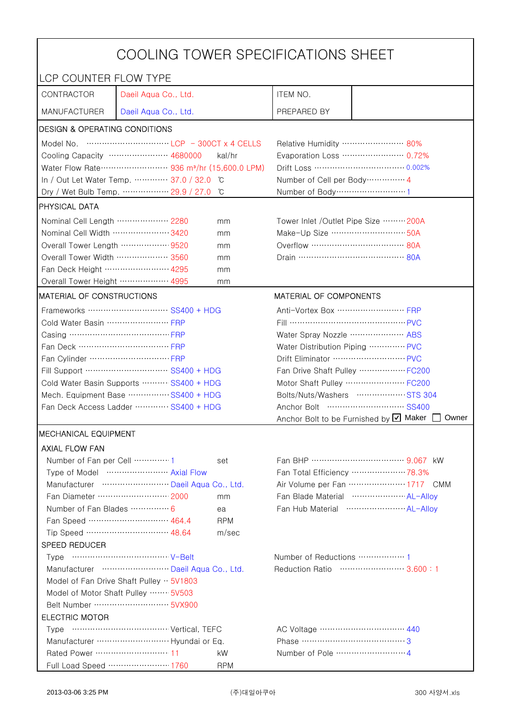| COOLING TOWER SPECIFICATIONS SHEET                                             |                                                                                                                                                                                                                                                                                                                                      |                                |                                                    |                                                    |  |
|--------------------------------------------------------------------------------|--------------------------------------------------------------------------------------------------------------------------------------------------------------------------------------------------------------------------------------------------------------------------------------------------------------------------------------|--------------------------------|----------------------------------------------------|----------------------------------------------------|--|
| LCP COUNTER FLOW TYPE                                                          |                                                                                                                                                                                                                                                                                                                                      |                                |                                                    |                                                    |  |
| CONTRACTOR                                                                     | Daeil Aqua Co., Ltd.                                                                                                                                                                                                                                                                                                                 |                                | ITEM NO.                                           |                                                    |  |
| <b>MANUFACTURER</b>                                                            | Daeil Aqua Co., Ltd.                                                                                                                                                                                                                                                                                                                 |                                | PREPARED BY                                        |                                                    |  |
| DESIGN & OPERATING CONDITIONS                                                  |                                                                                                                                                                                                                                                                                                                                      |                                |                                                    |                                                    |  |
|                                                                                | Model No. $\cdots$ $\cdots$ $\cdots$ $\cdots$ $\cdots$ $\cdots$ $\cdots$ $\cdots$ $\cdots$ $\cdots$ $\cdots$ $\cdots$ $\cdots$ $\cdots$ $\cdots$ $\cdots$ $\cdots$ $\cdots$ $\cdots$ $\cdots$ $\cdots$ $\cdots$ $\cdots$ $\cdots$ $\cdots$ $\cdots$ $\cdots$ $\cdots$ $\cdots$ $\cdots$ $\cdots$ $\cdots$ $\cdots$ $\cdots$ $\cdots$ |                                | Relative Humidity …………………… 80%                     |                                                    |  |
|                                                                                | Cooling Capacity ………………… 4680000                                                                                                                                                                                                                                                                                                     | kal/hr                         |                                                    | Evaporation Loss ………………… 0.72%                     |  |
|                                                                                | Water Flow Rate ···························· 936 m <sup>3</sup> /hr (15,600.0 LPM)                                                                                                                                                                                                                                                   |                                |                                                    |                                                    |  |
|                                                                                | In / Out Let Water Temp.  37.0 / 32.0                                                                                                                                                                                                                                                                                                | C                              | Number of Cell per Body ··············· 4          |                                                    |  |
|                                                                                | Dry / Wet Bulb Temp.  29.9 / 27.0                                                                                                                                                                                                                                                                                                    | ĬС                             | Number of Body ··································1 |                                                    |  |
| <b>PHYSICAL DATA</b>                                                           |                                                                                                                                                                                                                                                                                                                                      |                                |                                                    |                                                    |  |
| Nominal Cell Length  2280                                                      |                                                                                                                                                                                                                                                                                                                                      | mm                             | Tower Inlet /Outlet Pipe Size  200A                |                                                    |  |
| Nominal Cell Width  3420                                                       |                                                                                                                                                                                                                                                                                                                                      | mm                             | Make-Up Size ································· 50A |                                                    |  |
| Overall Tower Length ……………… 9520                                               |                                                                                                                                                                                                                                                                                                                                      | mm                             |                                                    |                                                    |  |
| Overall Tower Width ……………… 3560                                                |                                                                                                                                                                                                                                                                                                                                      | mm                             |                                                    |                                                    |  |
| Fan Deck Height …………………… 4295                                                  |                                                                                                                                                                                                                                                                                                                                      | mm                             |                                                    |                                                    |  |
| Overall Tower Height  4995                                                     |                                                                                                                                                                                                                                                                                                                                      | mm                             |                                                    |                                                    |  |
| MATERIAL OF CONSTRUCTIONS                                                      |                                                                                                                                                                                                                                                                                                                                      |                                | MATERIAL OF COMPONENTS                             |                                                    |  |
|                                                                                | Frameworks  SS400 + HDG                                                                                                                                                                                                                                                                                                              |                                | Anti-Vortex Box …………………… FRP                       |                                                    |  |
| Cold Water Basin  FRP                                                          |                                                                                                                                                                                                                                                                                                                                      |                                |                                                    |                                                    |  |
|                                                                                |                                                                                                                                                                                                                                                                                                                                      |                                | Water Spray Nozzle ………………… ABS                     |                                                    |  |
| Fan Deck …………………………… FRP                                                       |                                                                                                                                                                                                                                                                                                                                      | Water Distribution Piping  PVC |                                                    |                                                    |  |
|                                                                                |                                                                                                                                                                                                                                                                                                                                      |                                | Drift Eliminator  PVC                              |                                                    |  |
| Fill Support ………………………… SS400 + HDG                                            |                                                                                                                                                                                                                                                                                                                                      | Fan Drive Shaft Pulley  FC200  |                                                    |                                                    |  |
| Cold Water Basin Supports  SS400 + HDG                                         |                                                                                                                                                                                                                                                                                                                                      | Motor Shaft Pulley  FC200      |                                                    |                                                    |  |
| Mech. Equipment Base SS400 + HDG                                               |                                                                                                                                                                                                                                                                                                                                      | Bolts/Nuts/Washers  STS 304    |                                                    |                                                    |  |
| Fan Deck Access Ladder ………… SS400 + HDG                                        |                                                                                                                                                                                                                                                                                                                                      |                                |                                                    |                                                    |  |
|                                                                                |                                                                                                                                                                                                                                                                                                                                      |                                |                                                    | Anchor Bolt to be Furnished by Ø Maker<br>Owner    |  |
| <b>MECHANICAL EQUIPMENT</b>                                                    |                                                                                                                                                                                                                                                                                                                                      |                                |                                                    |                                                    |  |
| <b>AXIAL FLOW FAN</b>                                                          |                                                                                                                                                                                                                                                                                                                                      |                                |                                                    |                                                    |  |
| Number of Fan per Cell 1                                                       |                                                                                                                                                                                                                                                                                                                                      | set                            |                                                    | Fan BHP ……………………………… 9.067 kW                      |  |
|                                                                                | Type of Model  Axial Flow                                                                                                                                                                                                                                                                                                            |                                |                                                    | Fan Total Efficiency  78.3%                        |  |
|                                                                                | Manufacturer  Daeil Aqua Co., Ltd.                                                                                                                                                                                                                                                                                                   |                                |                                                    | Air Volume per Fan ······················ 1717 CMM |  |
|                                                                                | Fan Diameter …………………… 2000                                                                                                                                                                                                                                                                                                           | mm                             |                                                    | Fan Blade Material  AL-Alloy                       |  |
| Number of Fan Blades  6                                                        |                                                                                                                                                                                                                                                                                                                                      | ea                             |                                                    |                                                    |  |
|                                                                                | Fan Speed ………………………… 464.4                                                                                                                                                                                                                                                                                                           | <b>RPM</b>                     |                                                    |                                                    |  |
|                                                                                | Tip Speed ………………………… 48.64                                                                                                                                                                                                                                                                                                           | m/sec                          |                                                    |                                                    |  |
| SPEED REDUCER                                                                  |                                                                                                                                                                                                                                                                                                                                      |                                |                                                    |                                                    |  |
|                                                                                |                                                                                                                                                                                                                                                                                                                                      |                                | Number of Reductions  1                            |                                                    |  |
| Reduction Ratio …………………… 3.600:1<br>Manufacturer  Daeil Aqua Co., Ltd.         |                                                                                                                                                                                                                                                                                                                                      |                                |                                                    |                                                    |  |
| Model of Fan Drive Shaft Pulley · 5V1803<br>Model of Motor Shaft Pulley  5V503 |                                                                                                                                                                                                                                                                                                                                      |                                |                                                    |                                                    |  |
|                                                                                |                                                                                                                                                                                                                                                                                                                                      |                                |                                                    |                                                    |  |
| <b>ELECTRIC MOTOR</b>                                                          |                                                                                                                                                                                                                                                                                                                                      |                                |                                                    |                                                    |  |
|                                                                                |                                                                                                                                                                                                                                                                                                                                      |                                |                                                    |                                                    |  |
|                                                                                |                                                                                                                                                                                                                                                                                                                                      |                                | Phase ……………………………………3                              |                                                    |  |
|                                                                                |                                                                                                                                                                                                                                                                                                                                      | kW                             |                                                    |                                                    |  |
|                                                                                | Full Load Speed ………………… 1760                                                                                                                                                                                                                                                                                                         | <b>RPM</b>                     |                                                    |                                                    |  |